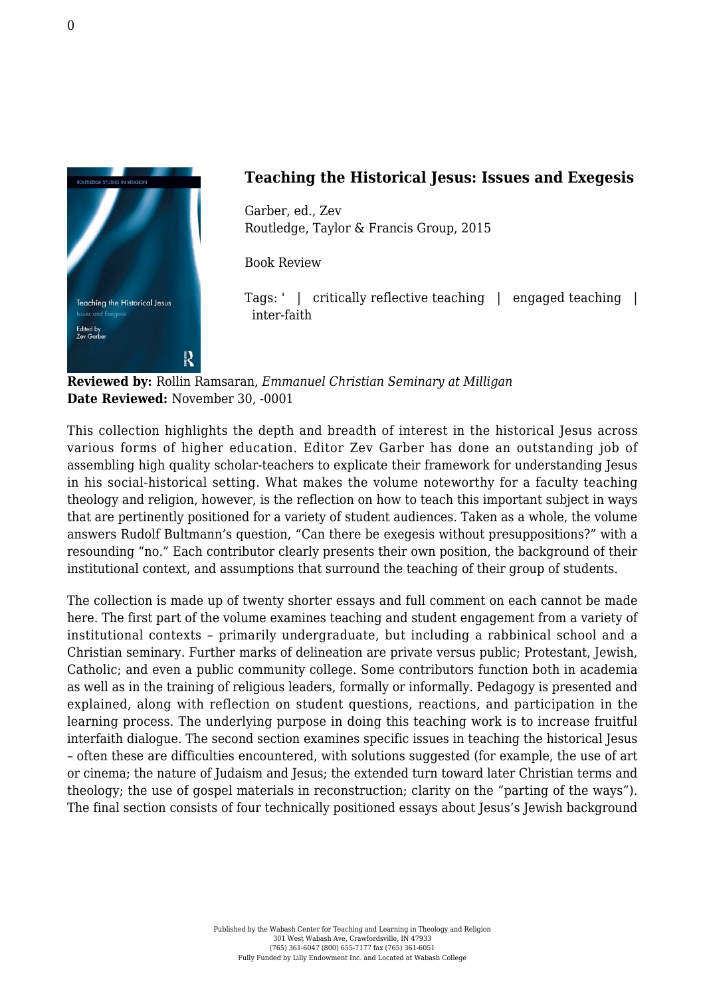

## **Teaching the Historical Jesus: Issues and Exegesis**

Garber, ed., Zev [Routledge, Taylor & Francis Group, 2015](https://www.routledge.com/products/9781138794610)

Book Review

Tags: ' | critically reflective teaching | engaged teaching | inter-faith

**Reviewed by:** Rollin Ramsaran, *Emmanuel Christian Seminary at Milligan* **Date Reviewed:** November 30, -0001

This collection highlights the depth and breadth of interest in the historical Jesus across various forms of higher education. Editor Zev Garber has done an outstanding job of assembling high quality scholar-teachers to explicate their framework for understanding Jesus in his social-historical setting. What makes the volume noteworthy for a faculty teaching theology and religion, however, is the reflection on how to teach this important subject in ways that are pertinently positioned for a variety of student audiences. Taken as a whole, the volume answers Rudolf Bultmann's question, "Can there be exegesis without presuppositions?" with a resounding "no." Each contributor clearly presents their own position, the background of their institutional context, and assumptions that surround the teaching of their group of students.

The collection is made up of twenty shorter essays and full comment on each cannot be made here. The first part of the volume examines teaching and student engagement from a variety of institutional contexts – primarily undergraduate, but including a rabbinical school and a Christian seminary. Further marks of delineation are private versus public; Protestant, Jewish, Catholic; and even a public community college. Some contributors function both in academia as well as in the training of religious leaders, formally or informally. Pedagogy is presented and explained, along with reflection on student questions, reactions, and participation in the learning process. The underlying purpose in doing this teaching work is to increase fruitful interfaith dialogue. The second section examines specific issues in teaching the historical Jesus – often these are difficulties encountered, with solutions suggested (for example, the use of art or cinema; the nature of Judaism and Jesus; the extended turn toward later Christian terms and theology; the use of gospel materials in reconstruction; clarity on the "parting of the ways"). The final section consists of four technically positioned essays about Jesus's Jewish background